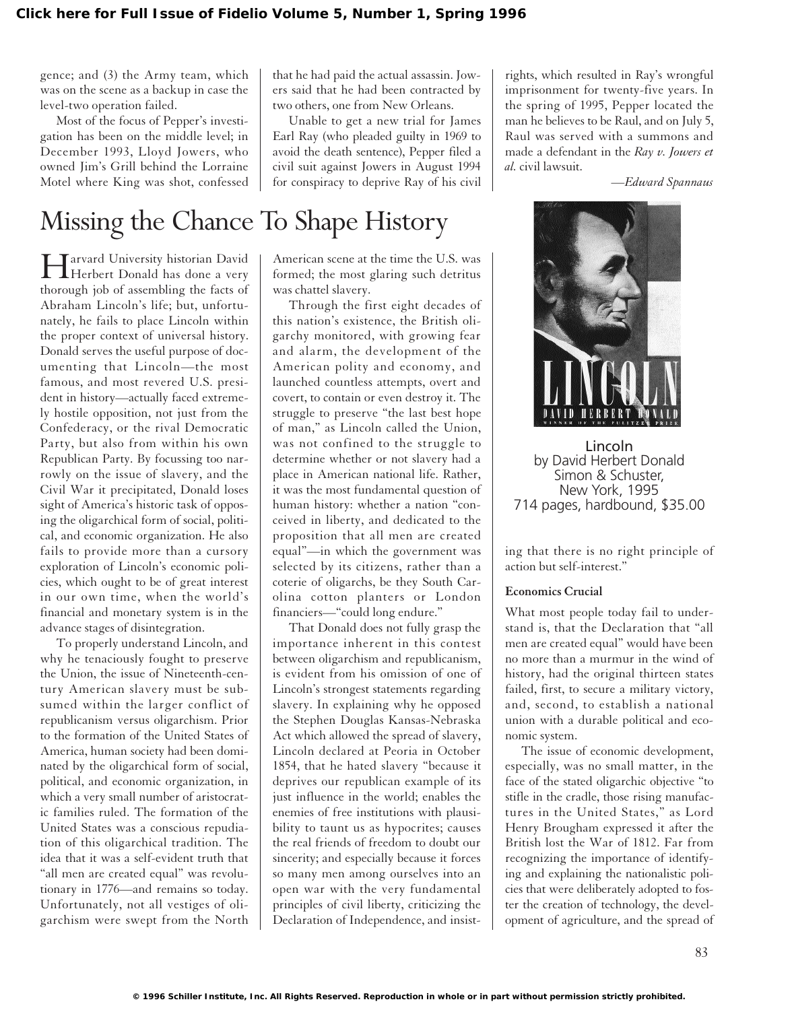gence; and (3) the Army team, which was on the scene as a backup in case the level-two operation failed.

Most of the focus of Pepper's investigation has been on the middle level; in December 1993, Lloyd Jowers, who owned Jim's Grill behind the Lorraine Motel where King was shot, confessed

## Missing the Chance To Shape History

Harvard University historian David Herbert Donald has done a very thorough job of assembling the facts of Abraham Lincoln's life; but, unfortunately, he fails to place Lincoln within the proper context of universal history. Donald serves the useful purpose of documenting that Lincoln—the most famous, and most revered U.S. president in history—actually faced extremely hostile opposition, not just from the Confederacy, or the rival Democratic Party, but also from within his own Republican Party. By focussing too narrowly on the issue of slavery, and the Civil War it precipitated, Donald loses sight of America's historic task of opposing the oligarchical form of social, political, and economic organization. He also fails to provide more than a cursory exploration of Lincoln's economic policies, which ought to be of great interest in our own time, when the world's financial and monetary system is in the advance stages of disintegration.

To properly understand Lincoln, and why he tenaciously fought to preserve the Union, the issue of Nineteenth-century American slavery must be subsumed within the larger conflict of republicanism versus oligarchism. Prior to the formation of the United States of America, human society had been dominated by the oligarchical form of social, political, and economic organization, in which a very small number of aristocratic families ruled. The formation of the United States was a conscious repudiation of this oligarchical tradition. The idea that it was a self-evident truth that "all men are created equal" was revolutionary in 1776—and remains so today. Unfortunately, not all vestiges of oligarchism were swept from the North that he had paid the actual assassin. Jowers said that he had been contracted by two others, one from New Orleans.

Unable to get a new trial for James Earl Ray (who pleaded guilty in 1969 to avoid the death sentence), Pepper filed a civil suit against Jowers in August 1994 for conspiracy to deprive Ray of his civil

American scene at the time the U.S. was formed; the most glaring such detritus was chattel slavery.

Through the first eight decades of this nation's existence, the British oligarchy monitored, with growing fear and alarm, the development of the American polity and economy, and launched countless attempts, overt and covert, to contain or even destroy it. The struggle to preserve "the last best hope of man," as Lincoln called the Union, was not confined to the struggle to determine whether or not slavery had a place in American national life. Rather, it was the most fundamental question of human history: whether a nation "conceived in liberty, and dedicated to the proposition that all men are created equal"—in which the government was selected by its citizens, rather than a coterie of oligarchs, be they South Carolina cotton planters or London financiers—"could long endure."

That Donald does not fully grasp the importance inherent in this contest between oligarchism and republicanism, is evident from his omission of one of Lincoln's strongest statements regarding slavery. In explaining why he opposed the Stephen Douglas Kansas-Nebraska Act which allowed the spread of slavery, Lincoln declared at Peoria in October 1854, that he hated slavery "because it deprives our republican example of its just influence in the world; enables the enemies of free institutions with plausibility to taunt us as hypocrites; causes the real friends of freedom to doubt our sincerity; and especially because it forces so many men among ourselves into an open war with the very fundamental principles of civil liberty, criticizing the Declaration of Independence, and insist-

rights, which resulted in Ray's wrongful imprisonment for twenty-five years. In the spring of 1995, Pepper located the man he believes to be Raul, and on July 5, Raul was served with a summons and made a defendant in the *Ray v. Jowers et al.* civil lawsuit.

*—Edward Spannaus*



Lincoln by David Herbert Donald Simon & Schuster, New York, 1995 714 pages, hardbound, \$35.00

ing that there is no right principle of action but self-interest."

## **Economics Crucial**

What most people today fail to understand is, that the Declaration that "all men are created equal" would have been no more than a murmur in the wind of history, had the original thirteen states failed, first, to secure a military victory, and, second, to establish a national union with a durable political and economic system.

The issue of economic development, especially, was no small matter, in the face of the stated oligarchic objective "to stifle in the cradle, those rising manufactures in the United States," as Lord Henry Brougham expressed it after the British lost the War of 1812. Far from recognizing the importance of identifying and explaining the nationalistic policies that were deliberately adopted to foster the creation of technology, the development of agriculture, and the spread of